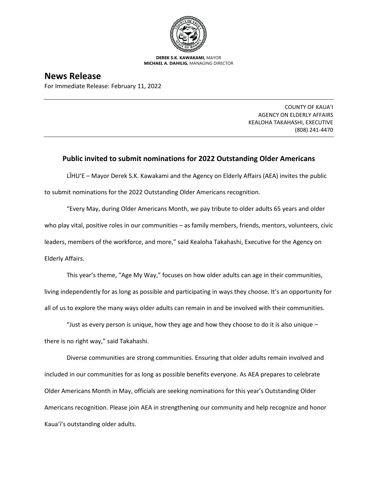

**DEREK S.K. KAWAKAMI,** MAYOR **MICHAEL A. DAHILIG,** MANAGING DIRECTOR

## **News Release**

For Immediate Release: February 11, 2022

COUNTY OF KAUA'I AGENCY ON ELDERLY AFFAIRS KEALOHA TAKAHASHI, EXECUTIVE (808) 241-4470

## **Public invited to submit nominations for 2022 Outstanding Older Americans**

LĪHU'E – Mayor Derek S.K. Kawakami and the Agency on Elderly Affairs (AEA) invites the public to submit nominations for the 2022 Outstanding Older Americans recognition.

"Every May, during Older Americans Month, we pay tribute to older adults 65 years and older who play vital, positive roles in our communities – as family members, friends, mentors, volunteers, civic leaders, members of the workforce, and more," said Kealoha Takahashi, Executive for the Agency on Elderly Affairs.

This year's theme, "Age My Way," focuses on how older adults can age in their communities, living independently for as long as possible and participating in ways they choose. It's an opportunity for all of us to explore the many ways older adults can remain in and be involved with their communities.

"Just as every person is unique, how they age and how they choose to do it is also unique  $$ there is no right way," said Takahashi.

Diverse communities are strong communities. Ensuring that older adults remain involved and included in our communities for as long as possible benefits everyone. As AEA prepares to celebrate Older Americans Month in May, officials are seeking nominations for this year's Outstanding Older Americans recognition. Please join AEA in strengthening our community and help recognize and honor Kaua'i's outstanding older adults.